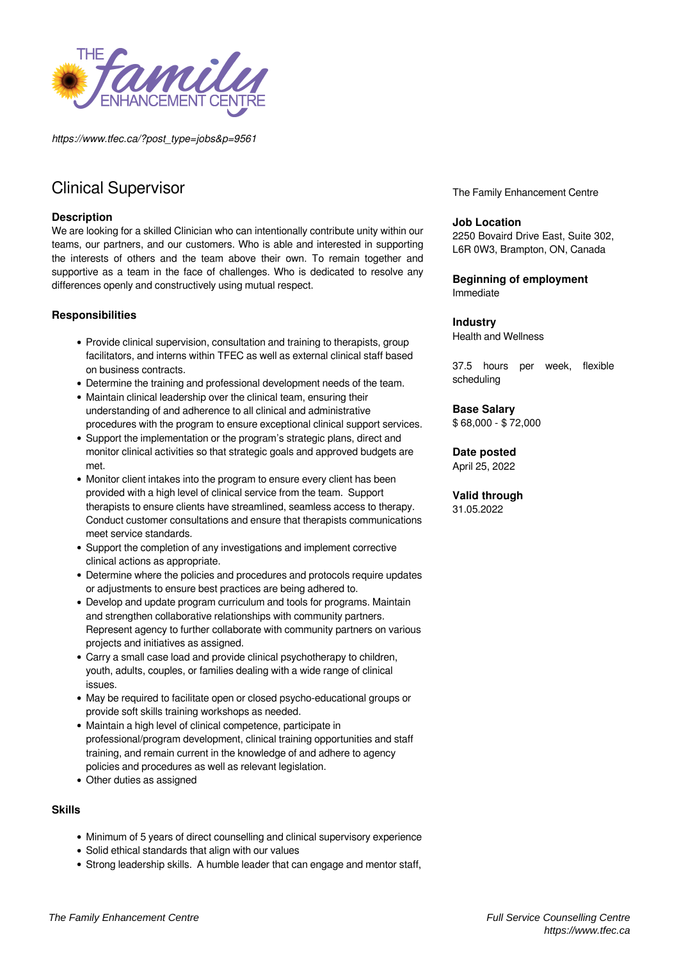

*https://www.tfec.ca/?post\_type=jobs&p=9561*

# Clinical Supervisor

### **Description**

We are looking for a skilled Clinician who can intentionally contribute unity within our teams, our partners, and our customers. Who is able and interested in supporting the interests of others and the team above their own. To remain together and supportive as a team in the face of challenges. Who is dedicated to resolve any differences openly and constructively using mutual respect.

# **Responsibilities**

- Provide clinical supervision, consultation and training to therapists, group facilitators, and interns within TFEC as well as external clinical staff based on business contracts.
- Determine the training and professional development needs of the team.
- Maintain clinical leadership over the clinical team, ensuring their understanding of and adherence to all clinical and administrative procedures with the program to ensure exceptional clinical support services.
- Support the implementation or the program's strategic plans, direct and monitor clinical activities so that strategic goals and approved budgets are met.
- Monitor client intakes into the program to ensure every client has been provided with a high level of clinical service from the team. Support therapists to ensure clients have streamlined, seamless access to therapy. Conduct customer consultations and ensure that therapists communications meet service standards.
- Support the completion of any investigations and implement corrective clinical actions as appropriate.
- Determine where the policies and procedures and protocols require updates or adjustments to ensure best practices are being adhered to.
- Develop and update program curriculum and tools for programs. Maintain and strengthen collaborative relationships with community partners. Represent agency to further collaborate with community partners on various projects and initiatives as assigned.
- Carry a small case load and provide clinical psychotherapy to children, youth, adults, couples, or families dealing with a wide range of clinical issues.
- May be required to facilitate open or closed psycho-educational groups or provide soft skills training workshops as needed.
- Maintain a high level of clinical competence, participate in professional/program development, clinical training opportunities and staff training, and remain current in the knowledge of and adhere to agency policies and procedures as well as relevant legislation.
- Other duties as assigned

# **Skills**

- Minimum of 5 years of direct counselling and clinical supervisory experience
- Solid ethical standards that align with our values
- Strong leadership skills. A humble leader that can engage and mentor staff.

The Family Enhancement Centre

# **Job Location**

2250 Bovaird Drive East, Suite 302, L6R 0W3, Brampton, ON, Canada

#### **Beginning of employment** Immediate

#### **Industry**

Health and Wellness

37.5 hours per week, flexible scheduling

# **Base Salary**

\$ 68,000 - \$ 72,000

# **Date posted**

April 25, 2022

#### **Valid through**

31.05.2022